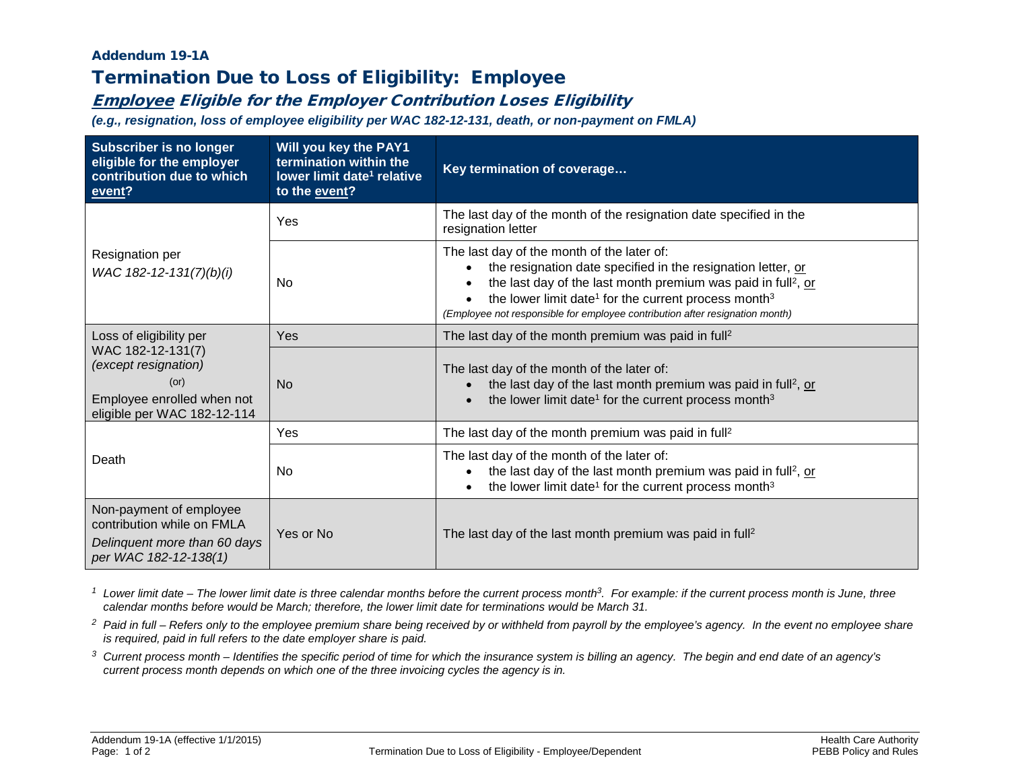## Addendum 19-1A

## Termination Due to Loss of Eligibility: Employee

## Employee Eligible for the Employer Contribution Loses Eligibility

*(e.g., resignation, loss of employee eligibility per WAC 182-12-131, death, or non-payment on FMLA)*

| <b>Subscriber is no longer</b><br>eligible for the employer<br>contribution due to which<br>event?                                        | Will you key the PAY1<br>termination within the<br>lower limit date <sup>1</sup> relative<br>to the event? | Key termination of coverage                                                                                                                                                                                                                                                                                                                             |  |
|-------------------------------------------------------------------------------------------------------------------------------------------|------------------------------------------------------------------------------------------------------------|---------------------------------------------------------------------------------------------------------------------------------------------------------------------------------------------------------------------------------------------------------------------------------------------------------------------------------------------------------|--|
| Resignation per<br>WAC 182-12-131(7)(b)(i)                                                                                                | Yes                                                                                                        | The last day of the month of the resignation date specified in the<br>resignation letter                                                                                                                                                                                                                                                                |  |
|                                                                                                                                           | No                                                                                                         | The last day of the month of the later of:<br>the resignation date specified in the resignation letter, or<br>the last day of the last month premium was paid in full <sup>2</sup> , or<br>the lower limit date <sup>1</sup> for the current process month <sup>3</sup><br>(Employee not responsible for employee contribution after resignation month) |  |
| Loss of eligibility per<br>WAC 182-12-131(7)<br>(except resignation)<br>(or)<br>Employee enrolled when not<br>eligible per WAC 182-12-114 | Yes                                                                                                        | The last day of the month premium was paid in full <sup>2</sup>                                                                                                                                                                                                                                                                                         |  |
|                                                                                                                                           | <b>No</b>                                                                                                  | The last day of the month of the later of:<br>the last day of the last month premium was paid in full <sup>2</sup> , or<br>the lower limit date <sup>1</sup> for the current process month <sup>3</sup>                                                                                                                                                 |  |
| Death                                                                                                                                     | Yes                                                                                                        | The last day of the month premium was paid in full <sup>2</sup>                                                                                                                                                                                                                                                                                         |  |
|                                                                                                                                           | No.                                                                                                        | The last day of the month of the later of:<br>the last day of the last month premium was paid in full <sup>2</sup> , or<br>the lower limit date <sup>1</sup> for the current process month <sup>3</sup>                                                                                                                                                 |  |
| Non-payment of employee<br>contribution while on FMLA                                                                                     | Yes or No                                                                                                  | The last day of the last month premium was paid in full <sup>2</sup>                                                                                                                                                                                                                                                                                    |  |
| Delinquent more than 60 days<br>per WAC 182-12-138(1)                                                                                     |                                                                                                            |                                                                                                                                                                                                                                                                                                                                                         |  |

<sup>1</sup> Lower limit date – The lower limit date is three calendar months before the current process month<sup>3</sup>. For example: if the current process month is June, three *calendar months before would be March; therefore, the lower limit date for terminations would be March 31.*

- <sup>2</sup> Paid in full Refers only to the employee premium share being received by or withheld from payroll by the employee's agency. In the event no employee share *is required, paid in full refers to the date employer share is paid.*
- *<sup>3</sup> Current process month – Identifies the specific period of time for which the insurance system is billing an agency. The begin and end date of an agency's current process month depends on which one of the three invoicing cycles the agency is in.*